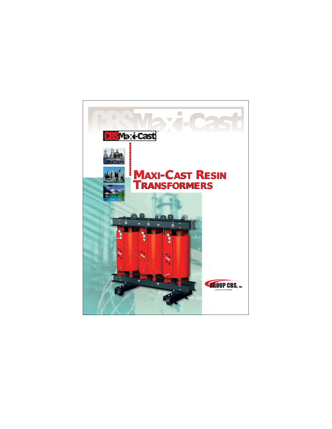





## **MAXI-CAST RESIN MAXI-CASTRESIN TRANSFORMERS TRANSFORMERS**



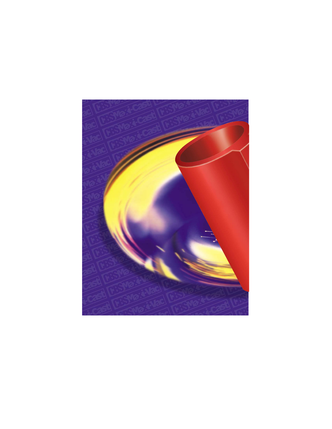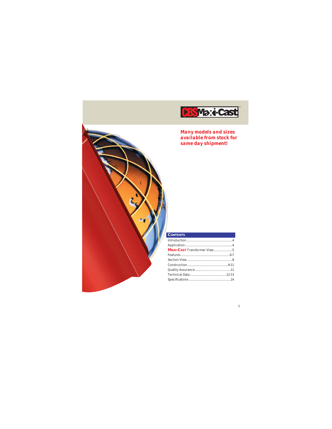

*Many models and sizes available from stock for same day shipment!*

## **CONTENTS**

| <b>MAXI-CAST Transformer View5</b> |
|------------------------------------|
|                                    |
|                                    |
|                                    |
|                                    |
|                                    |
|                                    |
|                                    |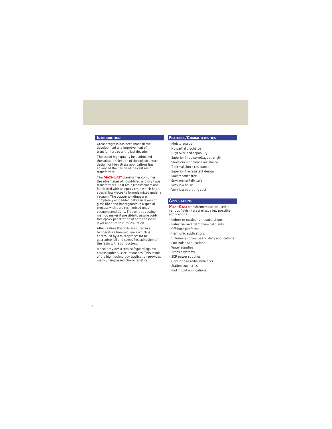## **INTRODUCTION**

Great progress has been made in the development and improvement of transformers over the last decade.

The use of high quality insulation and the suitable selection of the coil structure design for high stress applications has advanced the design of the cast resin transformer.

The **MAXI-CAST** transformer combines the advantages of liquid-filled and dry type transformers. Cast resin transformers are fabricated with an epoxy resin which has a special low viscosity formula mixed under a vacuum. The copper windings are completely embedded between layers of glass fiber and impregnated in a special process with pure resin mixed under vacuum conditions. This unique casting method makes it possible to assure voidfree epoxy penetration of both the inner layer and turn-to-turn insulation.

After casting, the coils are cured in a temperature time sequence which is controlled by a microprocessor to guarantee full and stress-free adhesion of the resin to the conductors.

It also provides a total safeguard against cracks under all circumstances. This result of the high technology application provides many unsurpassed characteristics.

## **FEATURES/CHARACTERISTICS**

- Moisture proof
- No partial discharge
- High overload capability
- Superior Impulse voltage strength
- Short-circuit damage resistance
- Thermal shock resistance
- Superior fire resistant design
- Maintenance free
- Environmentally safe
- Very low noise
- Very low operating cost

## **APPLICATIONS**

**MAXI-CAST** transformers can be used in various fields. Here are just a few possible applications:

- Indoor or outdoor unit substations
- Industrial and petrochemical plants
- Offshore platforms
- Harmonic applications
- Extremely corrosive and dirty applications
- Low noise applications
- Water supplies
- Transit systems
- SCR power supplies
- Grid, ring or radial networks
- Station auxiliaries
- Pad mount applications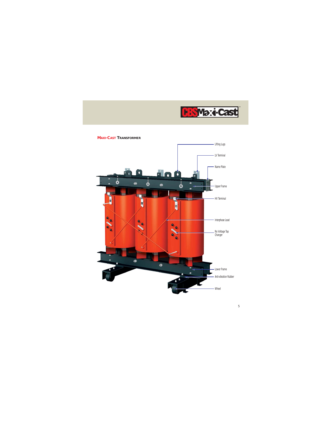

## **MAXI-CAST TRANSFORMER**

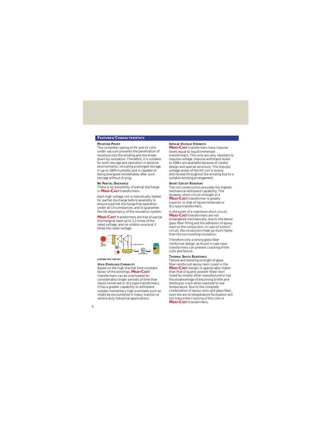## **FEATURES/CHARACTERISTICS**

#### **MOISTURE PROOF**

The complete casting of HV and LV coils under vacuum prevents the penetration of moisture into the winding and the breakdown by ionization. Therefore, it is suitable for both storage and operation in adverse environments, including prolonged storage in up to 100% humidity and is capable of being energized immediately after such storage without drying.

## **NO PARTIAL DISCHARGE**

There is no possibility of partial discharge in **MAXI-CAST** transformers.

Each high voltage coil is individually tested for partial discharge before assembly to ensure a partial discharge-free operation under all circumstances, and to guarantee the life expectancy of the insulation system.

**MAXI-CAST** transformers are free of partial discharge at least up to 1.2 times of the rated voltage, and no visible corona at 2 times the rated voltage.



*(CORONA TEST CIRCUIT)*

#### **HIGH OVERLOAD CAPABILITY**

Based on the high thermal time constant factor of the windings, **MAXI-CAST** transformers can be overloaded for considerably longer periods of time than liquid immersed or dry type transformers. It has a greater capability to withstand sudden momentary high overloads such as might be encountered in heavy traction or severe duty industrial applications.

## **IMPULSE VOLTAGE STRENGTH**

**MAXI-CAST** transformers have impulse levels equal to liquid-immersed transformers. The coils are very resistant to impulse voltage. Impulse withstand levels to 200kv are available because of careful design and special structure. The impulse voltage stress of the HV coil is evenly distributed throughout the winding due to a suitable winding arrangement.

## **SHORT CIRCUIT RESISTANT**

The coil construction provides the highest mechanical withstand capability. The dynamic short circuit strength of a **MAXI-CAST** transformer is greatly superior to that of liquid-immersed or dry type transformers.

In the event of a maximum short circuit, **MAXI-CAST** transformers are not endangered mechanically, due to the dense glass fiber filling and the adhesion of epoxy resin to the conductors. In case of a short circuit, the conductors heat up much faster than the surrounding insulation.

Therefore only a strong glass fiber reinforced design, as found in cast resin transformers can prevent cracking of the coils and failure.

#### **THERMAL SHOCK RESISTANCE**

Tensile and bending strength of glass fiber reinforced epoxy resin (used in the **MAXI-CAST** design) is appreciably higher than that of quartz powder filled resin (used by mostly other manufacturers) has the disadvantage of becoming brittle and tending to crack when exposed to low temperature. Due to the complete combination of epoxy resin and glass fiber, even the worst temperature fluctuation will not induce the cracking of the coils in **MAXI-CAST** transformers.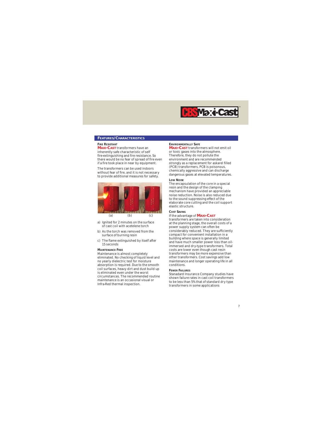

## **FEATURES/CHARACTERISTICS**

## **FIRE RESISTANT**

**MAXI-CAST** transformers have an inherently safe characteristic of self fire-extinguishing and fire resistance. So there would be no fear of spread of fire even if a fire took place in near by equipment.

The transformers can be used indoors without fear of fire, and it is not necessary to provide additional measures for safety.



- a) Ignited for 2 minutes on the surface of cast coil with acetelene torch
- b) As the torch was removed from the surface of burning resin
- c) The flame extinguished by itself after 15 seconds

## **MAINTENANCE FREE**

Maintenance is almost completely eliminated. No checking of liquid level and no yearly dielectric test for moisture absorption is required. Due to the smooth coil surfaces, heavy dirt and dust build up is eliminated even under the worst circumstances. The recommended routine maintenance is an occasional visual or Infra-Red thermal inspection.

## **ENVIRONMENTALLY SAFE**

**MAXI-CAST** transformers will not emit oil or toxic gases into the atmosphere. Therefore, they do not pollute the environment and are recommended strongly as a replacement for askarel filled (PCB) transformers. PCB is poisonous, chemically aggressive and can discharge dangerous gases at elevated temperatures.

## **LOW NOISE**

The encapsulation of the core in a special resin and the design of the clamping mechanism have provided an appreciable noise reduction. Noise is also reduced due to the sound suppressing effect of the elaborate core cutting and the coil support elastic structure.

## **COST SAVING**

If the advantage of **MAXI-CAST**

transformers are taken into consideration at the planning stage, the overall costs of a power supply system can often be considerably reduced. They are sufficiently compact for convenient installation in a building where space is generally limited and have much smaller power loss than oilimmersed and dry-type transformers. Total costs are lower even though cast resin transformers may be more expensive than other transformers. Cost savings add low maintenance and longer operating life in all conditions.

## **FEWER FAILURES**

Stanadard Insurance Company studies have shown failure rates in cast coil transformers to be less than 5% that of standard dry type transformers in some applications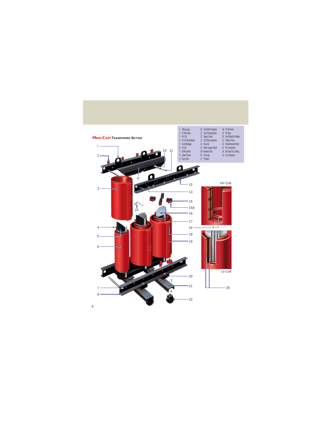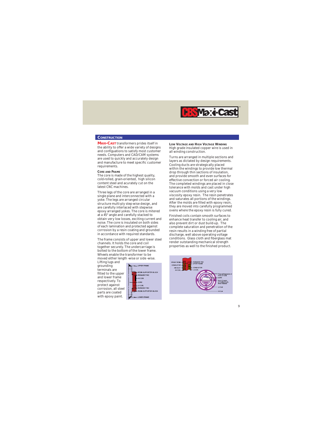

## **CONSTRUCTION**

**MAXI-CAST** transformers prides itself in the ability to offer a wide variety of designs and configuations to satisfy most customer needs. Computers and CAD/CAM systems are used to quickly and accurately design and manufacture to meet specific customer requirements.

#### **CORE AND FRAME**

The core is made of the highest quality, cold-rolled, grain-oriented, high silicon content steel and acurately cut on the latest CNC machines.

Three legs of the core are arranged in a single plane and interconnected with a yoke. The legs are arranged circular structure multi-ply step-wise design, and are carefully interlaced with stepwise epoxy arranged yokes. The core is mitered at a 45° angle and carefully stacked to obtain very low losses, exciting current and noise. The core is insulated on both sides of each lamination and protected against corrosion by a resin coating and grounded in accordance with required standards.

The frame consists of upper and lower steel channels. It holds the core and coil together securely. The undercarriage is bolted to the bottom of the lower frame. Wheels enable the transformer to be moved either length -wise or side -wise.

**LOW VOLTAGE AND HIGH VOLTAGE WINDING** High grade insulated copper wire is used in all winding construction.

Turns are arranged in multiple sections and layers as dictated by design requirements. Cooling ducts are strategically placed within the windings to provide low thermal drop through thin sections of insulation, and provide smooth and even surfaces for effective convection or forced air cooling. The completed windings are placed in close tolerance with molds and cast under high vacuum conditions using a very low viscosity epoxy resin. The resin penetrates and saturates all portions of the windings. After the molds are filled with epoxy resin, they are moved into carefully programmed ovens where the epoxy resin is fully cured.

Finished coils contain smooth surfaces to enhance heat transfer to cooling air, and also prevent dirt or dust build-up. The complete saturation and penetration of the resin results in a winding free of partial discharge, well above operating voltage conditions. Glass cloth and fiberglass mat render outstanding mechanical strength properties as well to the finished product.

Lifting lugs and grounding terminals are fitted to the upper and lower frame respectively. To protect against corrosion, all steel parts are coated with epoxy paint.



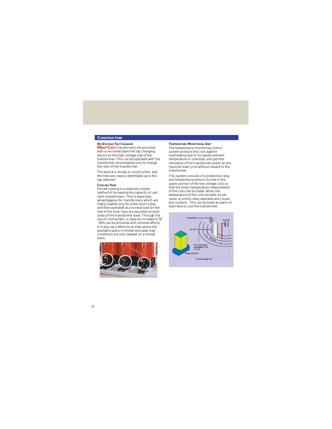## **CONSTRUCTION**

## **NO-VOLTAGE TAP CHANGER**

**MAXI-CAST** transformers are provided with a re-connectable link tap changing device on the high voltage side of the transformer. This can be operated with the transformer de-energized only to change the ratio of the transformer.

The device is sturdy in construction, and the links are clearly identifiable as to the tap selected.

## **COOLING FANS**

Forced cooling is a relatively simple method of increasing the capacity of cast resin transformers. This is especially advantageous for transformers which are highly loaded only for a few hours a day and then operated at a normal load for the rest of the time. Fans are mounted on both sides of the transformer base. Through the use of cooling fans, a capacity increase of 30 - 50% can be achieved with minimal efforts. It is also very effective at sites where the available space is limited and peak load conditions are only needed on a limited basis.



## **TEMPERATURE MONITORING UNIT**

The temperature monitoring control system protects the coils against overheating due to increased ambient temperature or overload, and permits utilization of full transformer power at any required load cycle without hazard to the transformer.

This system consists of a protective relay and temperature sensors buried in the upper portion of the low voltage coils so that the direct temperature measurement of the coils can be made. When the temperature of the coils exceeds its set value, a control relay operates and closes the contacts. This can activate an alarm or start fans to cool the transformer.

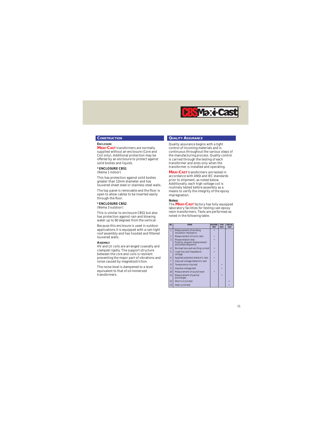

## **CONSTRUCTION**

## **ENCLOSURE**

**MAXI-CAST** transformers are normally supplied without an enclosure (Core and Coil only), Additional protection may be offered by an enclosure to protect against solid bodies and liquids.

#### **\*ENCLOSURE CBS1**

(Nema 1 indoor)

This has protection against solid bodies greater than 12mm diameter and has louvered sheet steel or stainless steel walls.

The top panel is removable and the floor is open to allow cables to be inserted easily through the floor.

## **\*ENCLOSURE CBS2**

(Nema 3 outdoor)

This is similar to enclosure CBS1 but also has protection against rain and blowing water up to 60 degrees from the vertical.

Because this enclosure is used in outdoor applications it is equipped with a rain tight roof assembly and has hooded and filtered louvered walls.

## **ASSEMBLY**

HV and LV coils are arranged coaxially and clamped rigidly. The support structure between the core and coils is resilient preventing the major part of vibrations and noise caused by magnetostriction.

The noise level is dampened to a level equivalent to that of oil-immersed transformers.

## **QUALITY ASSURANCE**

Quality assurance begins with a tight control of incoming materials and is continuous throughout the various steps of the manufacturing process. Quality control is carried through the testing of each transformer and ends only when the transformer is installed and operating.

**MAXI-CAST** transformers are tested in accordance with ANSI and IEC standards prior to shipment, as noted below. Additionally, each high voltage coil is routinely tested before assembly as a means to verify the integrity of the epoxy impregnation.

## **Notes:**

The **MAXI-CAST** factory has fully equipped laboratory facilities for testing cast epoxy resin transformers. Tests are performed as noted in the following table.

| NO.            | <b>ITEMS</b>                                                                 | <b>ROUTINE</b><br><b>TEST</b> | <b>TYPF</b><br><b>TFST</b> | <b>SPECIAL</b><br><b>TFST</b> |
|----------------|------------------------------------------------------------------------------|-------------------------------|----------------------------|-------------------------------|
| $\mathbf{1}$   | <b>Measurement of winding</b><br>insulation resistance                       |                               |                            |                               |
| $\overline{2}$ | <b>Measurement of turns ratio</b>                                            |                               |                            |                               |
| $\overline{3}$ | Phase-relation test:<br>Polarity, angular displacement<br>and phase sequence |                               |                            |                               |
| 4              | No-load loss and exciting current                                            |                               |                            |                               |
| 5              | <b>Load loss and impedance</b><br>voltage                                    |                               |                            |                               |
| 6              | Applied potential dielectric test                                            |                               |                            |                               |
| $\overline{7}$ | Induced voltage dielectric test                                              |                               |                            |                               |
| 8              | <b>Temperature rise test</b>                                                 |                               |                            |                               |
| 9              | Impulse voltage test                                                         |                               |                            |                               |
| 10             | Measurement of sound level                                                   |                               |                            |                               |
| 11             | <b>Measurement of partial</b><br>discharges                                  |                               |                            |                               |
| 12             | Short-circuit test                                                           |                               |                            |                               |
| 13             | Heat cycle test                                                              |                               |                            |                               |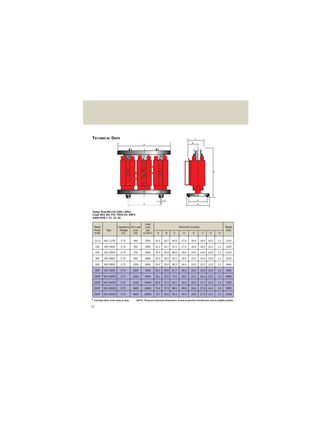## **TECHNICAL DATA**





**Temp. Rise 80/115/150C, 60Hz Class 5KV, BIL HV; 75KV/LV; 30KV. ANSI/IEEE C 57. 12. 01**

| Rated |           | Impedance | No-Load | Load<br>Loss | Dimension (inches) |             |      |      |      |                 |                | Weight |       |                |   |   |   |                |       |
|-------|-----------|-----------|---------|--------------|--------------------|-------------|------|------|------|-----------------|----------------|--------|-------|----------------|---|---|---|----------------|-------|
| (KVA) | Power     |           |         | Type<br>(% ) | Voltage            | Loss<br>(W) |      |      |      | (W)<br>at 100°C | $\overline{A}$ | B      | Ċ     | $\overline{D}$ | E | F | G | $\overline{H}$ | (lbs) |
| 112.5 | MC-1 12/5 | 5.75      | 450     | 2350         | 41.3               | 19.7        | 40.9 | 27.6 | 16.9 | 18.5            | 10.2           | 1.2    | 1210  |                |   |   |   |                |       |
| 150   | MC-150/5  | 5.75      | 550     | 2900         | 41.3               | 19.7        | 47.2 | 27.6 | 16.9 | 18.5            | 10.2           | 1.2    | 1430  |                |   |   |   |                |       |
| 225   | MC-225/5  | 5.75      | 700     | 3500         | 45.3               | 25.6        | 48.8 | 29.9 | 22.8 | 19.9            | 10.6           | 1.2    | 2120  |                |   |   |   |                |       |
| 300   | MC-300/5  | 5.75      | 850     | 3800         | 45.3               | 25.6        | 53.1 | 29.9 | 22.8 | 19.9            | 10.6           | 1.2    | 2510  |                |   |   |   |                |       |
| 500   | MC-500/5  | 5.75      | 1200    | 6300         | 53.5               | 25.6        | 58.3 | 34.6 | 22.8 | 22.2            | 11.8           | 1.2    | 3640  |                |   |   |   |                |       |
| 750*  | MC-750/5  | 5.75      | 1800    | 7800         | 55.1               | 29.5        | 67.7 | 36.6 | 24.1 | 23.8            | 12.4           | 1.9    | 4890  |                |   |   |   |                |       |
| 1000* | MC-1000/5 | 5.75      | 2300    | 9000         | 59.1               | 29.5        | 72.8 | 38.6 | 24.1 | 24.4            | 13.0           | 1.9    | 6060  |                |   |   |   |                |       |
| 1500* | MC-1500/5 | 5.75      | 3100    | 13500        | 66.9               | 37.4        | 82.7 | 44.5 | 29.9 | 27.2            | 14.4           | 1.9    | 7300  |                |   |   |   |                |       |
| 2000* | MC-2000/5 | 5.75      | 3600    | 16600        | 70.9               | 37.4        | 88.6 | 46.9 | 29.9 | 27.8            | 14.6           | 1.9    | 9900  |                |   |   |   |                |       |
| 2500* | MC-2500/5 | 5.75      | 4600    | 19000        | 78.7               | 40.2        | 95.3 | 46.9 | 29.9 | 27.8            | 14.6           | 1.9    | 11000 |                |   |   |   |                |       |

**\* Indicates stock units ready to ship. NOTE: These are maximum dimensions. Actual production transformer may be slightly smaller.**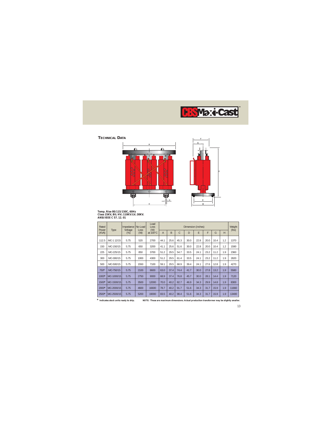

## **TECHNICAL DATA**





**Temp. Rise 80/115/150C, 60Hz Class 15KV, BIL HV; 110KV/LV; 30KV. ANSI/IEEE C 57. 12. 01**

| Rated |            | Impedance | No-Load |             |         | Loss<br>(W) |                 |                |      |      |                |     | Load<br>Loss | Dimension (inches) |                |       |  |  |  |  | Weight |
|-------|------------|-----------|---------|-------------|---------|-------------|-----------------|----------------|------|------|----------------|-----|--------------|--------------------|----------------|-------|--|--|--|--|--------|
| (KVA) | Power      |           |         | Type<br>(%) | Voltage |             | (W)<br>at 100°C | $\overline{A}$ | B    | Ċ    | $\overline{D}$ | E   | F            | G                  | $\overline{H}$ | (lbs) |  |  |  |  |        |
| 112.5 | MC-1 12/15 | 5.75      | 520     | 2700        | 44.1    | 25.6        | 45.3            | 30.0           | 22.8 | 20.0 | 10.4           | 1.2 | 1370         |                    |                |       |  |  |  |  |        |
| 150   | MC-150/15  | 5.75      | 650     | 3200        | 41.1    | 25.6        | 51.6            | 30.0           | 22.8 | 20.0 | 10.4           | 1.2 | 1590         |                    |                |       |  |  |  |  |        |
| 225   | MC-225/15  | 5.75      | 850     | 3700        | 51.2    | 29.5        | 54.7            | 33.5           | 24.1 | 23.2 | 11.2           | 1.9 | 2360         |                    |                |       |  |  |  |  |        |
| 300   | MC-300/15  | 5.75      | 1000    | 4300        | 51.2    | 29.5        | 61.4            | 33.5           | 24.1 | 23.2 | 11.2           | 1.9 | 2820         |                    |                |       |  |  |  |  |        |
| 500   | MC-500/15  | 5.75      | 1550    | 7100        | 59.1    | 29.5        | 68.9            | 39.4           | 24.1 | 27.6 | 12.8           | 1.9 | 4270         |                    |                |       |  |  |  |  |        |
| 750*  | MC-750/15  | 5.75      | 2100    | 8600        | 63.0    | 37.4        | 74.4            | 41.7           | 30.0 | 27.8 | 13.2           | 1.9 | 5580         |                    |                |       |  |  |  |  |        |
| 1000* | MC-1000/15 | 5.75      | 2750    | 9000        | 68.9    | 37.4        | 76.8            | 45.7           | 30.0 | 28.1 | 14.4           | 1.9 | 7120         |                    |                |       |  |  |  |  |        |
| 1500* | MC-1500/15 | 5.75      | 3500    | 12000       | 70.0    | 40.2        | 82.7            | 46.9           | 34.3 | 29.9 | 14.8           | 1.9 | 8300         |                    |                |       |  |  |  |  |        |
| 2000* | MC-2000/15 | 5.75      | 4600    | 16600       | 78.7    | 40.2        | 91.7            | 51.6           | 34.3 | 31.7 | 15.9           | 1.9 | 11660        |                    |                |       |  |  |  |  |        |
| 2500* | MC-2500/15 | 5.75      | 5200    | 19000       | 83.5    | 40.2        | 98.4            | 51.6           | 34.3 | 31.7 | 15.9           | 1.9 | 13400        |                    |                |       |  |  |  |  |        |

**\* Indicates stock units ready to ship. NOTE: These are maximum dimensions. Actual production transformer may be slightly smaller.**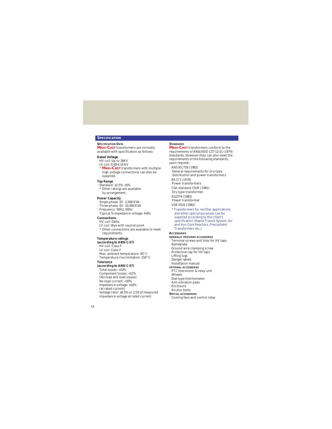## **SPECIFICATION**

## **SPECIFICATION DATA**

**MAXI-CAST** transformers are normally available with specification as follows:

## **Rated Voltage**

- HV coil: Up to 36KV
- LV coil: 0.48-4.16 KV
- \* **MAXI-CAST** transformers with multiple high voltage connections can also be supplied.

## **Tap Range**

- Standard: ±2.5%, ±5%
	- \* Other ratings are available by arrangement.

## **Power Capacity**

- Single phase. 20 2,000 KVA
- Three phase: 50 10,000 KVA
- Frequency: 50Hz, 60Hz
- Typical % impedance voltage: 4-8%

## **Connections**

- HV coil: Delta
- LV coil: Wye with neutral point
- \* Other connections are available to meet requirements.

## **Temperature ratings**

## **(according to ANSI C-57)**

- HV coil: Class F
- LV coil: Class F
- Max. ambient temperature: 40° C
- Temperature rise limitation: 150° C

## **Tolerance**

## **(according to ANSI C-57)**

- Total losses: +10%
- Component losses: +15% (No-load and load losses)
- No-load current: +30%
- Impedance voltage: ±10% (at rated current)
- Voltage ratio: ±0.5% or 1/10 of measured impedance voltage at rated current.

## **STANDARDS**

**MAXI-CAST** transformers conform to the requirements of ANSI/IEEE C57-12.01 (1979) standards. However they can also meet the requirements of the following standards, upon request:

- ANS IEC726 (1982) General requirements for dry-type distribution and power transformers
- BS-171 (1978) Power transformers
- CSA standard C9-M (1981) Dry-type transformer
- AS2374 (1982) Power transformer
- VDE 0532 (1982)
	- \* Transformers for rectifier applications and other special purposes can be supplied according to the client's specification (Rapid Transit System, Air and Iron Core Reactors, Precipitator Transformers etc.)

## **ACCESSORIES**

## **NORMALLY PROVIDED ACCESSORIES**

- Terminal screws and links for HV taps
- Nameplate
- Ground wire clamping screw
- Protective cap for HV taps
- Lifting lugs
- Danger labels
- Installation manual

## **OPTIONAL ACCESSORIES**

- PTC thermistor & relay unit
- Wheels
- Dial-type thermometer
- Anti-vibration pads
- Enclosure
- Anchor bolts

## **SPECIAL ACCESSORIES**

• Cooling fans and control relay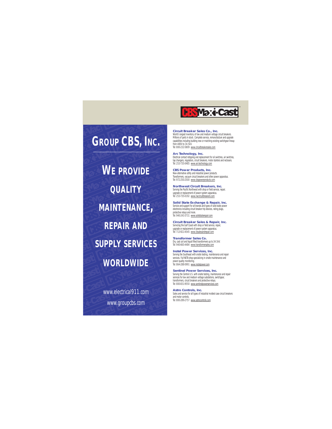

# **GROUP CBS, INC.**

**WE PROVIDE QUALITY MAINTENANCE, REPAIR AND SUPPLY SERVICES**

> *www.electrical911.com www.groupcbs.com*

**WORLDWIDE**

## **Circuit Breaker Sales Co., Inc.**

World's largest inventory of low and medium voltage circuit breakers. Millions of parts in stock. Complete service, remanufacture and upgrade capabilities including building new or matching existing switchgear lineup from 480V to 34.5kV. Tel: 800-232-5809 www.circuitbreakersales.com

## **Arc Technology, Inc.**

Electrical contact retipping and replacement for oil switches, air switches, tap changers, regulators, circuit breakers, motor starters and reclosers. Tel: 253-735-0485 www.arc-technology.com

## **CBS Power Products, Inc.**

New alternative utility and industrial power products. Transformers, vacuum circuit breakers and other power apparatus. Tel: 972-250-2500 www.cbspowerproducts.com

## **Northwest Circuit Breakers, Inc.**

Serving the Pacific Northwest with shop or field service, repair, upgrade or replacement of power system apparatus. Tel: 253-735-0192 www.nwcircuitbreakers.com

## **Solid State Exchange & Repair, Inc.**

Service and support for all brands and types of solid state power electronics including circuit breaker trip devices, rating plugs, protective relays and more. Tel: 940-243-3731 www.solidstaterepair.com

## **Circuit Breaker Sales & Repair, Inc.**

Servicing the Gulf Coast with shop or field service, repair, upgrade or replacement of power system apparatus. Tel: 713-921-4545 www.cbsalesandrepair.com

## **Transformer Sales Co.**

Dry, cast coil and liquid filled transformers up to 34.5kV. Tel: 940-665-4484 www.transformersales.com

## **Instel Power Services, Inc.**

Serving the Southeast with onsite testing, maintenance and repair services. Full NETA shop specializing in onsite maintenance and power quality monitoring. Tel: 864-288-0991 www.instelpower.com

## **Sentinel Power Services, Inc.**

Serving the Central U.S. with onsite testing, maintenance and repair services for low and medium voltage substations, switchgear, transformers, circuit breakers and protective relays. Tel: 800-831-9550 www.sentinelpowerservices.com

## **Astro Controls, Inc.**

Sales and service for all types of industrial molded case circuit breakers and motor controls. Tel: 800-289-2757 www.astrocontrols.com